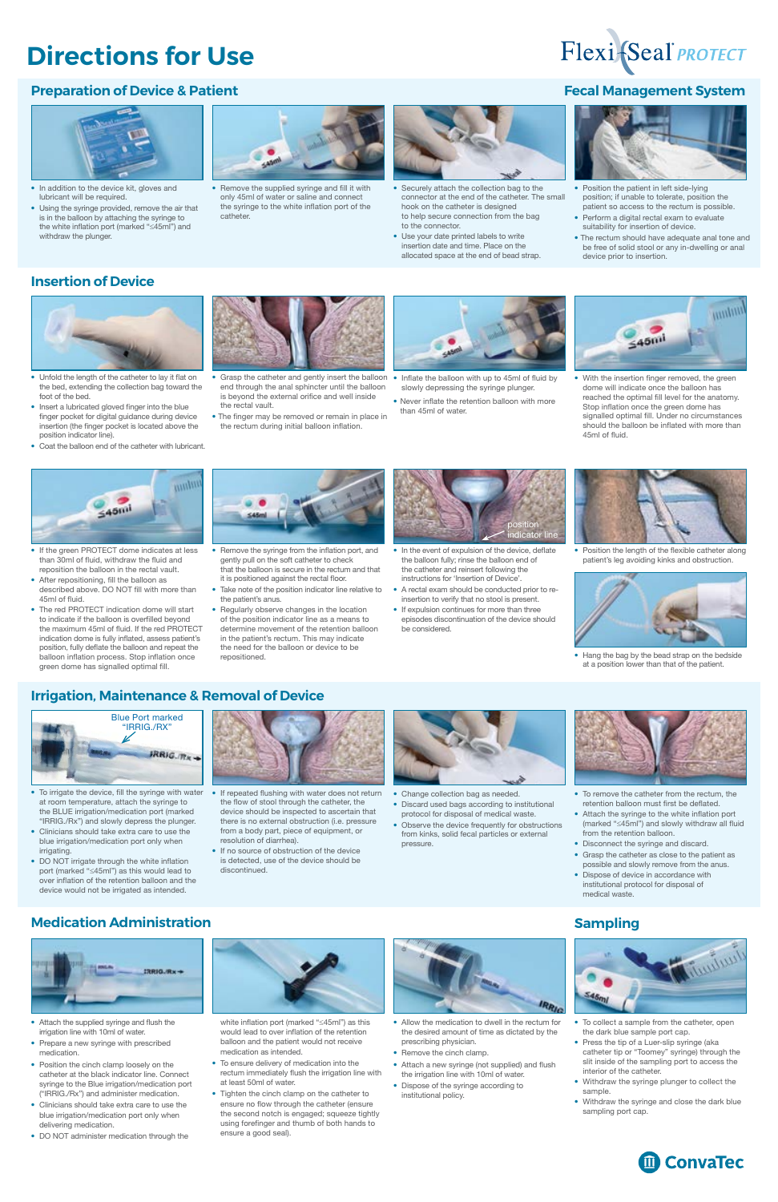## **Directions for Use**

- In addition to the device kit, gloves and lubricant will be required.
- Using the syringe provided, remove the air that is in the balloon by attaching the syringe to the white inflation port (marked "≤45ml") and withdraw the plunger.



• Remove the supplied syringe and fill it with only 45ml of water or saline and connect the syringe to the white inflation port of the catheter.



- Securely attach the collection bag to the connector at the end of the catheter. The small hook on the catheter is designed to help secure connection from the bag to the connector.
- Use your date printed labels to write insertion date and time. Place on the allocated space at the end of bead strap.



• With the insertion finger removed, the green dome will indicate once the balloon has reached the optimal fill level for the anatomy. Stop inflation once the green dome has signalled optimal fill. Under no circumstances should the balloon be inflated with more than 45ml of fluid.



- Grasp the catheter and gently insert the balloon Inflate the balloon with up to 45ml of fluid by end through the anal sphincter until the balloon is beyond the external orifice and well inside the rectal vault.
- The finger may be removed or remain in place in the rectum during initial balloon inflation.



- Position the patient in left side-lying position; if unable to tolerate, position the patient so access to the rectum is possible.
- Perform a digital rectal exam to evaluate suitability for insertion of device.
- The rectum should have adequate anal tone and be free of solid stool or any in-dwelling or anal device prior to insertion.

- slowly depressing the syringe plunger.
- Never inflate the retention balloon with more than 45ml of water.



• Position the length of the flexible catheter along patient's leg avoiding kinks and obstruction.



- In the event of expulsion of the device, deflate the balloon fully; rinse the balloon end of the catheter and reinsert following the instructions for 'Insertion of Device'.
- A rectal exam should be conducted prior to reinsertion to verify that no stool is present.
- If expulsion continues for more than three episodes discontinuation of the device should be considered.



- To irrigate the device, fill the syringe with water at room temperature, attach the syringe to the BLUE irrigation/medication port (marked "IRRIG./Rx") and slowly depress the plunger.
- Clinicians should take extra care to use the blue irrigation/medication port only when irrigating.
- DO NOT irrigate through the white inflation port (marked "≤45ml") as this would lead to over inflation of the retention balloon and the



- Change collection bag as needed.
- Discard used bags according to institutional protocol for disposal of medical waste.
- Observe the device frequently for obstructions from kinks, solid fecal particles or external pressure.



- To remove the catheter from the rectum, the retention balloon must first be deflated.
- Attach the syringe to the white inflation port (marked "≤45ml") and slowly withdraw all fluid from the retention balloon.
- Disconnect the syringe and discard.
- Grasp the catheter as close to the patient as possible and slowly remove from the anus.
- Dispose of device in accordance with

institutional protocol for disposal of medical waste.

- Remove the syringe from the inflation port, and gently pull on the soft catheter to check that the balloon is secure in the rectum and that it is positioned against the rectal floor.
- Take note of the position indicator line relative to the patient's anus.
- Regularly observe changes in the location of the position indicator line as a means to determine movement of the retention balloon in the patient's rectum. This may indicate the need for the balloon or device to be repositioned.

• Hang the bag by the bead strap on the bedside at a position lower than that of the patient.

- If the green PROTECT dome indicates at less than 30ml of fluid, withdraw the fluid and reposition the balloon in the rectal vault.
- After repositioning, fill the balloon as described above. DO NOT fill with more than 45ml of fluid.
- The red PROTECT indication dome will start to indicate if the balloon is overfilled beyond the maximum 45ml of fluid. If the red PROTECT indication dome is fully inflated, assess patient's position, fully deflate the balloon and repeat the balloon inflation process. Stop inflation once green dome has signalled optimal fill.





- Attach the supplied syringe and flush the irrigation line with 10ml of water.
- Prepare a new syringe with prescribed medication.
- Position the cinch clamp loosely on the catheter at the black indicator line. Connect syringe to the Blue irrigation/medication port ("IRRIG./Rx") and administer medication.
- Clinicians should take extra care to use the blue irrigation/medication port only when delivering medication.
- DO NOT administer medication through the



- white inflation port (marked "≤45ml") as this would lead to over inflation of the retention balloon and the patient would not receive medication as intended.
- To ensure delivery of medication into the rectum immediately flush the irrigation line with at least 50ml of water.
- Tighten the cinch clamp on the catheter to ensure no flow through the catheter (ensure the second notch is engaged; squeeze tightly using forefinger and thumb of both hands to ensure a good seal).



- Allow the medication to dwell in the rectum for the desired amount of time as dictated by the prescribing physician.
- Remove the cinch clamp.
- Attach a new syringe (not supplied) and flush the irrigation line with 10ml of water.
- Dispose of the syringe according to institutional policy.



#### **Preparation of Device & Patient Fecal Management System**





- To collect a sample from the catheter, open the dark blue sample port cap.
- Press the tip of a Luer-slip syringe (aka catheter tip or "Toomey" syringe) through the slit inside of the sampling port to access the interior of the catheter.
- Withdraw the syringe plunger to collect the sample.
- Withdraw the syringe and close the dark blue sampling port cap.



## **Insertion of Device**



#### **Irrigation, Maintenance & Removal of Device**

#### **Medication Administration Sampling**



- Unfold the length of the catheter to lay it flat on the bed, extending the collection bag toward the foot of the bed.
- Insert a lubricated gloved finger into the blue finger pocket for digital guidance during device insertion (the finger pocket is located above the position indicator line).
- Coat the balloon end of the catheter with lubricant.



- If repeated flushing with water does not return the flow of stool through the catheter, the device should be inspected to ascertain that there is no external obstruction (i.e. pressure from a body part, piece of equipment, or resolution of diarrhea).
- If no source of obstruction of the device is detected, use of the device should be discontinued.